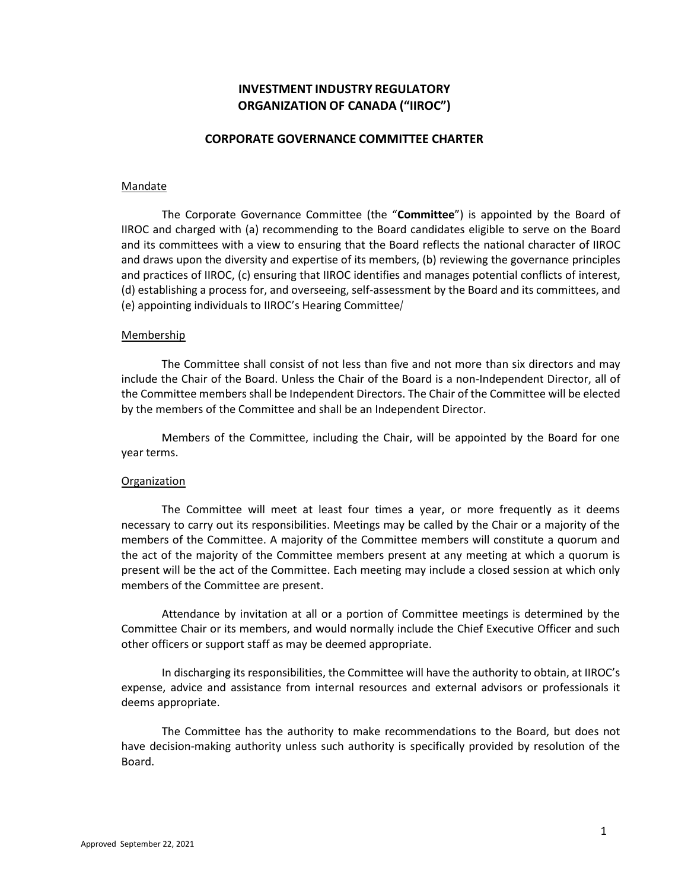# **INVESTMENT INDUSTRY REGULATORY ORGANIZATION OF CANADA ("IIROC")**

## **CORPORATE GOVERNANCE COMMITTEE CHARTER**

#### Mandate

 The Corporate Governance Committee (the "**Committee**") is appointed by the Board of IIROC and charged with (a) recommending to the Board candidates eligible to serve on the Board and draws upon the diversity and expertise of its members, (b) reviewing the governance principles and practices of IIROC, (c) ensuring that IIROC identifies and manages potential conflicts of interest, (d) establishing a process for, and overseeing, self‐assessment by the Board and its committees, and (e) appointing individuals to IIROC's Hearing Committee/ and its committees with a view to ensuring that the Board reflects the national character of IIROC

#### Membership

 The Committee shall consist of not less than five and not more than six directors and may include the Chair of the Board. Unless the Chair of the Board is a non‐Independent Director, all of by the members of the Committee and shall be an Independent Director. the Committee members shall be Independent Directors. The Chair of the Committee will be elected

 Members of the Committee, including the Chair, will be appointed by the Board for one year terms.

#### **Organization**

 The Committee will meet at least four times a year, or more frequently as it deems necessary to carry out its responsibilities. Meetings may be called by the Chair or a majority of the members of the Committee. A majority of the Committee members will constitute a quorum and the act of the majority of the Committee members present at any meeting at which a quorum is present will be the act of the Committee. Each meeting may include a closed session at which only members of the Committee are present.

 Attendance by invitation at all or a portion of Committee meetings is determined by the Committee Chair or its members, and would normally include the Chief Executive Officer and such other officers or support staff as may be deemed appropriate.

 In discharging its responsibilities, the Committee will have the authority to obtain, at IIROC's expense, advice and assistance from internal resources and external advisors or professionals it deems appropriate.

 The Committee has the authority to make recommendations to the Board, but does not have decision‐making authority unless such authority is specifically provided by resolution of the Board.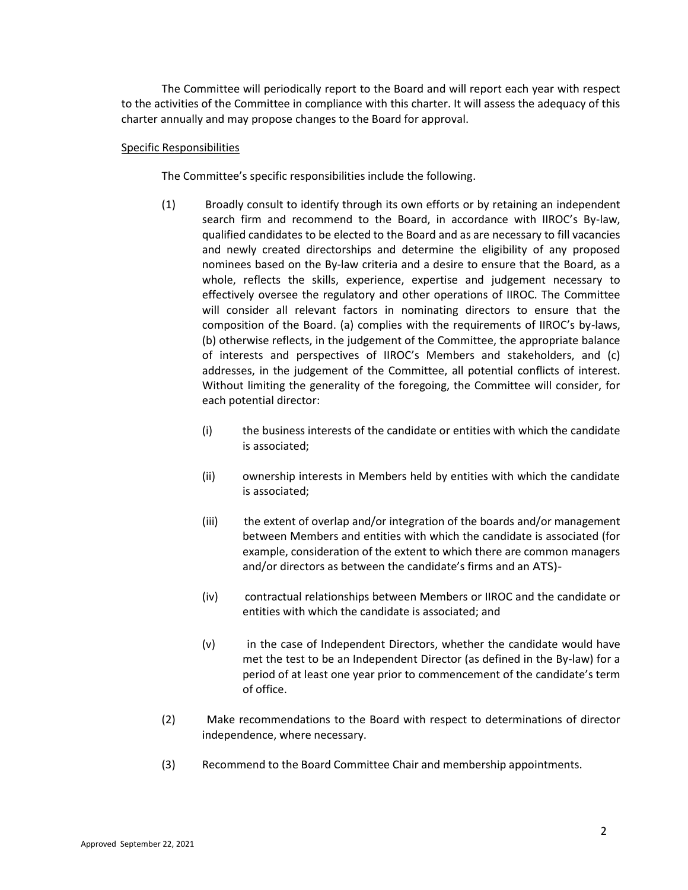The Committee will periodically report to the Board and will report each year with respect charter annually and may propose changes to the Board for approval. to the activities of the Committee in compliance with this charter. It will assess the adequacy of this

### Specific Responsibilities

The Committee's specific responsibilities include the following.

- Broadly consult to identify through its own efforts or by retaining an independent search firm and recommend to the Board, in accordance with IIROC's By-law, qualified candidates to be elected to the Board and as are necessary to fill vacancies and newly created directorships and determine the eligibility of any proposed nominees based on the By-law criteria and a desire to ensure that the Board, as a whole, reflects the skills, experience, expertise and judgement necessary to effectively oversee the regulatory and other operations of IIROC. The Committee will consider all relevant factors in nominating directors to ensure that the composition of the Board. (a) complies with the requirements of IIROC's by‐laws, (b) otherwise reflects, in the judgement of the Committee, the appropriate balance of interests and perspectives of IIROC's Members and stakeholders, and (c) addresses, in the judgement of the Committee, all potential conflicts of interest. Without limiting the generality of the foregoing, the Committee will consider, for each potential director: (1)
	- (i) the business interests of the candidate or entities with which the candidate is associated;
	- (ii) ownership interests in Members held by entities with which the candidate is associated;
	- the extent of overlap and/or integration of the boards and/or management between Members and entities with which the candidate is associated (for example, consideration of the extent to which there are common managers and/or directors as between the candidate's firms and an ATS)‐ (iii)
	- contractual relationships between Members or IIROC and the candidate or entities with which the candidate is associated; and (iv)
	- in the case of Independent Directors, whether the candidate would have met the test to be an Independent Director (as defined in the By‐law) for a period of at least one year prior to commencement of the candidate's term of office. (v)
- Make recommendations to the Board with respect to determinations of director independence, where necessary. (2)
- (3) Recommend to the Board Committee Chair and membership appointments.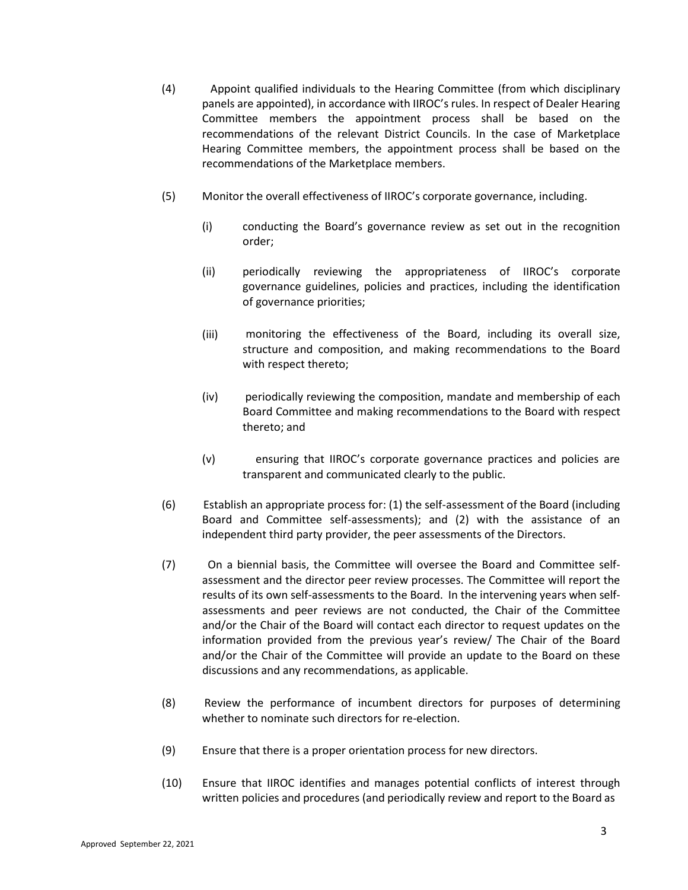- Appoint qualified individuals to the Hearing Committee (from which disciplinary panels are appointed), in accordance with IIROC's rules. In respect of Dealer Hearing Committee members the appointment process shall be based on the recommendations of the relevant District Councils. In the case of Marketplace Hearing Committee members, the appointment process shall be based on the recommendations of the Marketplace members. (4)
- $(5)$ Monitor the overall effectiveness of IIROC's corporate governance, including.
	- (i) conducting the Board's governance review as set out in the recognition order;
	- (ii) periodically reviewing the appropriateness of IIROC's corporate governance guidelines, policies and practices, including the identification of governance priorities;
	- monitoring the effectiveness of the Board, including its overall size, structure and composition, and making recommendations to the Board with respect thereto; (iii)
	- periodically reviewing the composition, mandate and membership of each Board Committee and making recommendations to the Board with respect thereto; and (iv)
	- ensuring that IIROC's corporate governance practices and policies are transparent and communicated clearly to the public. (v)
- Establish an appropriate process for: (1) the self‐assessment of the Board (including Board and Committee self‐assessments); and (2) with the assistance of an independent third party provider, the peer assessments of the Directors. (6)
- On a biennial basis, the Committee will oversee the Board and Committee self‐ assessment and the director peer review processes. The Committee will report the results of its own self‐assessments to the Board. In the intervening years when self‐ assessments and peer reviews are not conducted, the Chair of the Committee and/or the Chair of the Board will contact each director to request updates on the information provided from the previous year's review/ The Chair of the Board and/or the Chair of the Committee will provide an update to the Board on these discussions and any recommendations, as applicable. (7)
- Review the performance of incumbent directors for purposes of determining whether to nominate such directors for re-election. (8)
- (9) Ensure that there is a proper orientation process for new directors.
- Ensure that IIROC identifies and manages potential conflicts of interest through written policies and procedures (and periodically review and report to the Board as (10)